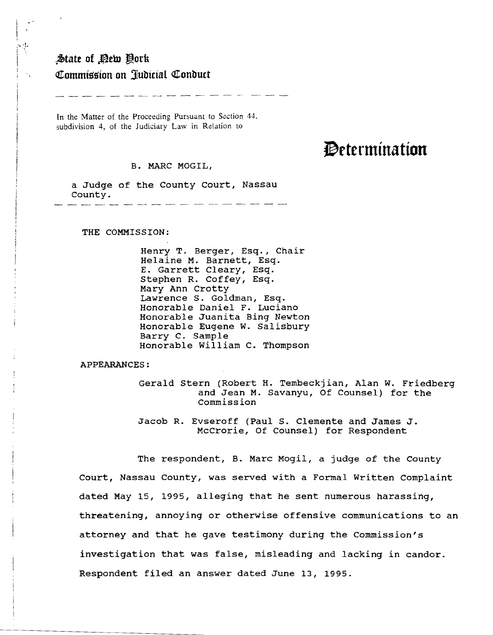## $*$ **State of Pety Oork Q!ommlgslon on ]ulJicial <:!tonlJuct**

· ..

In the Matter of the Proceeding Pursuant to Section 44. subdivision 4, of the Judiciary Law in Relation to

## Determination

B. MARC MOGIL,

a Judge of the County Court, Nassau County.

THE COMMISSION:

Henry T. Berger, Esq., Chair Helaine M. Barnett, Esq. E. Garrett Cleary, Esq. Stephen R. Coffey, Esq. Mary Ann Crotty Lawrence S. Goldman, Esq. Honorable Daniel F. Luciano Honorable Juanita Bing Newton Honorable Eugene W. Salisbury Barry C. Sample Honorable William C. Thompson

APPEARANCES:

Gerald Stern (Robert H. Tembeckjian, Alan W. Friedberg and Jean M. Savanyu, Of Counsel) for the Commission

Jacob R. Evseroff (Paul S. Clemente and James J. McCrorie, Of Counsel) for Respondent

The respondent, B. Marc Mogil, a judge of the County Court, Nassau County, was served with a Formal Written Complaint dated May 15, 1995, alleging that he sent numerous harassing, threatening, annoying or otherwise offensive communications to an attorney and that he gave testimony during the Commission's investigation that was false, misleading and lacking in candor. Respondent filed an answer dated June 13, 1995.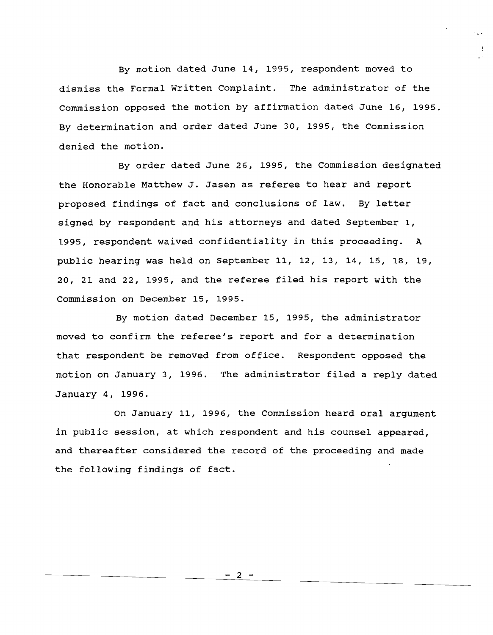By motion dated June 14, 1995, respondent moved to dismiss the Formal written Complaint. The administrator of the Commission opposed the motion by affirmation dated June 16, 1995. By determination and order dated June 30, 1995, the Commission denied the motion.

By order dated June 26, 1995, the Commission designated the Honorable Matthew J. Jasen as referee to hear and report proposed findings of fact and conclusions of law. By letter signed by respondent and his attorneys and dated September 1, 1995, respondent waived confidentiality in this proceeding. <sup>A</sup> pUblic hearing was held on September 11, 12, 13, 14, 15, 18, 19, 20, 21 and 22, 1995, and the referee filed his report with the Commission on December 15, 1995.

By motion dated December 15, 1995, the administrator moved to confirm the referee's report and for <sup>a</sup> determination that respondent be removed from office. Respondent opposed the motion on January 3, 1996. The administrator filed <sup>a</sup> reply dated January 4, 1996.

On January 11, 1996, the Commission heard oral argument in public session, at which respondent and his counsel appeared, and thereafter considered the record of the proceeding and made the following findings of fact.

 $\overline{2}$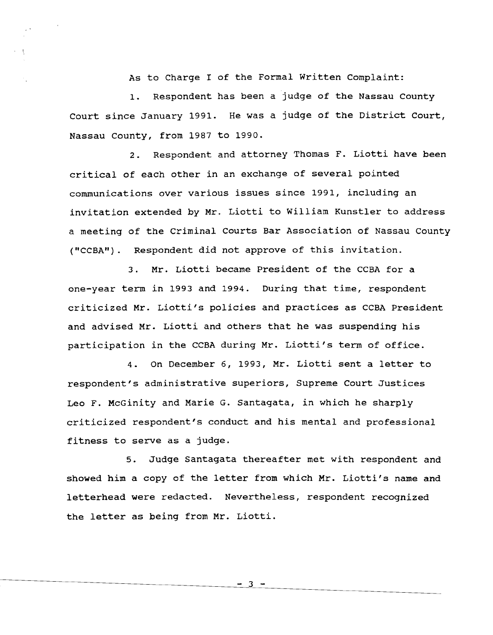As to Charge I of the Formal Written Complaint:

1. Respondent has been a judge of the Nassau County Court since January 1991. He was <sup>a</sup> judge of the District Court, Nassau County, from 1987 to 1990.

 $\mathfrak{t}$ 

2. Respondent and attorney Thomas F. Liotti have been critical of each other in an exchange of several pointed communications over various issues since 1991, including an invitation extended by Mr. Liotti to William Kunstler to address a meeting of the Criminal Courts Bar Association of Nassau County ("CCBA"). Respondent did not approve of this invitation.

3. Mr. Liotti became President of the CCBA for <sup>a</sup> one-year term in 1993 and 1994. During that time, respondent criticized Mr. Liotti's policies and practices as CCBA President and advised Mr. Liotti and others that he was suspending his participation in the CCBA during Mr. Liotti's term of office.

4. On December 6, 1993, Mr. Liotti sent <sup>a</sup> letter to respondent's administrative superiors, Supreme Court Justices Leo F. McGinity and Marie G. Santagata, in which he sharply criticized respondent's conduct and his mental and professional fitness to serve as <sup>a</sup> judge.

5. JUdge Santagata thereafter met with respondent and showed him <sup>a</sup> copy of the letter from which Mr. Liotti's name and letterhead were redacted. Nevertheless, respondent recognized the letter as being from Mr. Liotti.

- 3 -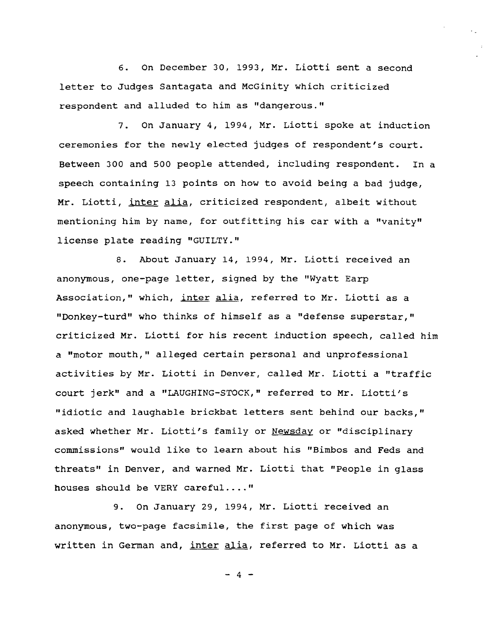6. On December 30, 1993, Mr. Liotti sent <sup>a</sup> second letter to Judges Santagata and MCGinity which criticized respondent and alluded to him as "dangerous."

7. On January 4, 1994, Mr. Liotti spoke at induction ceremonies for the newly elected jUdges of respondent's court. Between 300 and 500 people attended, including respondent. In a speech containing 13 points on how to avoid being a bad judge, Mr. Liotti, inter alia, criticized respondent, albeit without mentioning him by name, for outfitting his car with <sup>a</sup> "vanity" license plate reading "GUILTY."

8. About January 14, 1994, Mr. Liotti received an anonymous, one-page letter, signed by the "Wyatt Earp Association," which, inter alia, referred to Mr. Liotti as a "Donkey-turd" who thinks of himself as a "defense superstar," criticized Mr. Liotti for his recent induction speech, called him a "motor mouth," alleged certain personal and unprofessional activities by Mr. Liotti in Denver, called Mr. Liotti <sup>a</sup> "traffic court jerk" and <sup>a</sup> "LAUGHING-STOCK," referred to Mr. Liotti's "idiotic and laughable brickbat letters sent behind our backs," asked whether Mr. Liotti's family or Newsday or "disciplinary commissions" would like to learn about his "Bimbos and Feds and threats" in Denver, and warned Mr. Liotti that "People in glass houses should be VERY careful...."

9. On January 29, 1994, Mr. Liotti received an anonymous, two-page facsimile, the first page of which was written in German and, inter alia, referred to Mr. Liotti as a

 $- 4 -$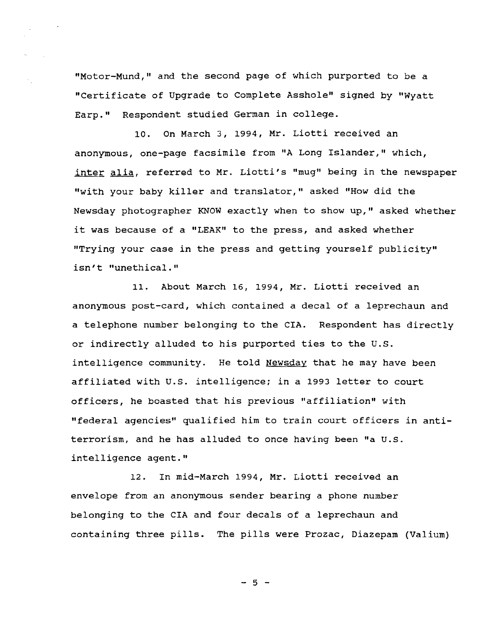"Motor-Mund," and the second page of which purported to be a "Certificate of Upgrade to Complete Asshole" signed by "Wyatt Earp." Respondent studied German in college.

10. On March 3, 1994, Mr. Liotti received an anonymous, one-page facsimile from "A Long Islander," which, inter alia, referred to Mr. Liotti's "mug" being in the newspaper "with your baby killer and translator," asked "How did the Newsday photographer KNOW exactly when to show up," asked whether it was because of <sup>a</sup> "LEAK" to the press, and asked whether "Trying your case in the press and getting yourself publicity" isn't "unethical."

11. About March 16, 1994, Mr. Liotti received an anonymous post-card, which contained a decal of a leprechaun and <sup>a</sup> telephone number belonging to the CIA. Respondent has directly or indirectly alluded to his purported ties to the U.S. intelligence community. He told Newsday that he may have been affiliated with U.S. intelligence: in <sup>a</sup> <sup>1993</sup> letter to court officers, he boasted that his previous "affiliation" with "federal agencies" qualified him to train court officers in antiterrorism, and he has alluded to once having been "a U.s. intelligence agent."

12. In mid-March 1994, Mr. Liotti received an envelope from an anonymous sender bearing a phone number belonging to the CIA and four decals of a leprechaun and containing three pills. The pills were Prozac, Diazepam (Valium)

 $-5 -$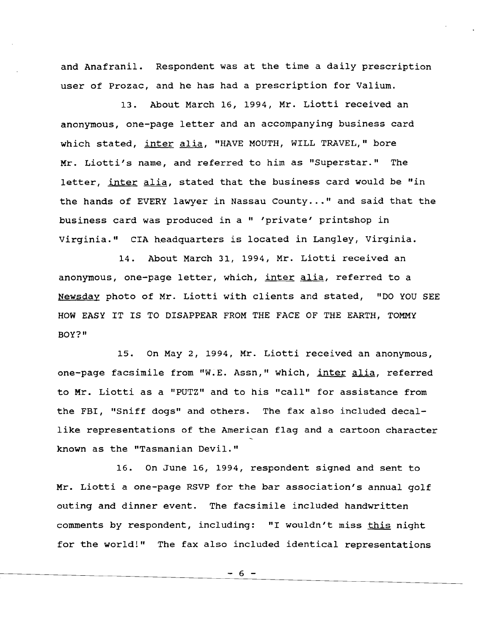and Anafranil. Respondent was at the time <sup>a</sup> daily prescription user of Prozac, and he has had a prescription for Valium.

13. About March 16, 1994, Mr. Liotti received an anonymous, one-page letter and an accompanying business card which stated, inter alia, "HAVE MOUTH, WILL TRAVEL," bore Mr. Liotti's name, and referred to him as "Superstar." The letter, inter alia, stated that the business card would be "in the hands of EVERY lawyer in Nassau County..." and said that the business card was produced in a " 'private' printshop in Virginia." CIA headquarters is located in Langley, Virginia.

14. About March 31, 1994, Mr. Liotti received an anonymous, one-page letter, which, inter alia, referred to a Newsday photo of Mr. Liotti with clients and stated, "DO YOU SEE HOW EASY IT IS TO DISAPPEAR FROM THE FACE OF THE EARTH, TOMMY BOY?"

15. On May 2, 1994, Mr. Liotti received an anonymous, one-page facsimile from "W.E. Assn," which, inter alia, referred to Mr. Liotti as <sup>a</sup> "PUTZ" and to his "call" for assistance from the FBI, "Sniff dogs" and others. The fax also included decallike representations of the American flag and <sup>a</sup> cartoon character known as the "Tasmanian Devil."

16. On June 16, 1994, respondent signed and sent to Mr. Liotti <sup>a</sup> one-page RSVP for the bar association's annual golf outing and dinner event. The facsimile included handwritten comments by respondent, including: "I wouldn't miss this night for the world!" The fax also included identical representations

 $-6$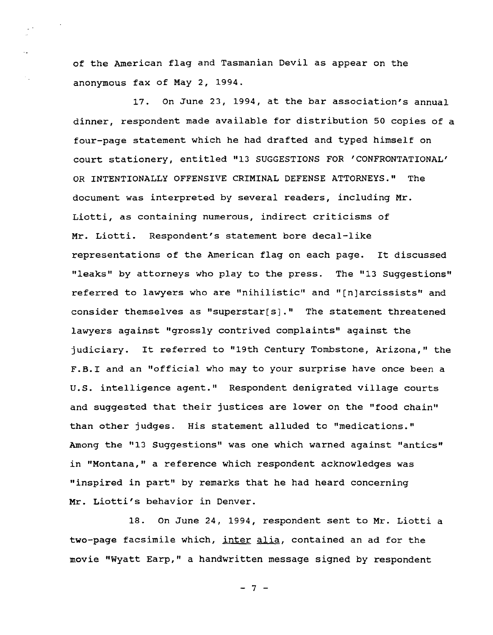of the American flag and Tasmanian Devil as appear on the anonymous fax of May 2, 1994.

 $\mathbb{R}^4$ 

 $\mathbb{R}^2$ 

17. On June 23, 1994, at the bar association's annual dinner, respondent made available for distribution 50 copies of <sup>a</sup> four-page statement which he had drafted and typed himself on court stationery, entitled "13 SUGGESTIONS FOR 'CONFRONTATIONAL' OR INTENTIONALLY OFFENSIVE CRIMINAL DEFENSE ATTORNEYS." The document was interpreted by several readers, including Mr. Liotti, as containing numerous, indirect criticisms of Mr. Liotti. Respondent's statement bore decal-like representations of the American flag on each page. It discussed "leaks" by attorneys who play to the press. The "13 suggestions" referred to lawyers who are "nihilistic" and "[n]arcissists" and consider themselves as "superstar[s]." The statement threatened lawyers against "grossly contrived complaints" against the judiciary. It referred to "19th Century Tombstone, Arizona," the F.B.I and an "official who may to your surprise have once been <sup>a</sup> U.S. intelligence agent." Respondent denigrated village courts and suggested that their justices are lower on the "food chain" than other judges. His statement alluded to "medications." Among the "13 Suggestions" was one which warned against "antics" in "Montana," a reference which respondent acknowledges was "inspired in part" by remarks that he had heard concerning Mr. Liotti's behavior in Denver.

18. On June 24, 1994, respondent sent to Mr. Liotti <sup>a</sup> two-page facsimile which, inter alia, contained an ad for the movie "Wyatt Earp," a handwritten message signed by respondent

 $- 7 -$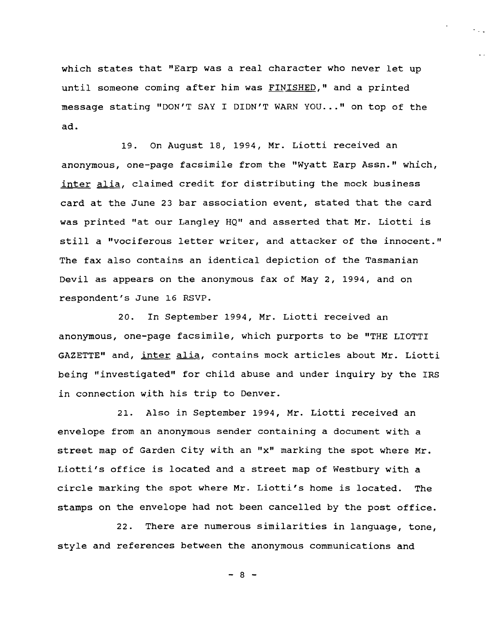which states that "Earp was <sup>a</sup> real character who never let up until someone coming after him was FINISHED," and <sup>a</sup> printed message stating "DON'T SAY I DIDN'T WARN YOU..." on top of the ad.

 $\cdot$  .

19. On August 18, 1994, Mr. Liotti received an anonymous, one-page facsimile from the "Wyatt Earp Assn." which, inter alia, claimed credit for distributing the mock business card at the June <sup>23</sup> bar association event, stated that the card was printed "at our Langley HQ" and asserted that Mr. Liotti is still <sup>a</sup> "vociferous letter writer, and attacker of the innocent." The fax also contains an identical depiction of the Tasmanian Devil as appears on the anonymous fax of May 2, 1994, and on respondent's June 16 RSVP.

20. In September 1994, Mr. Liotti received an anonymous, one-page facsimile, which purports to be "THE LIOTTI GAZETTE" and, inter alia, contains mock articles about Mr. Liotti being "investigated" for child abuse and under inquiry by the IRS in connection with his trip to Denver.

21. Also in September 1994, Mr. Liotti received an envelope from an anonymous sender containing a document with a street map of Garden City with an "X" marking the spot where Mr. Liotti's office is located and <sup>a</sup> street map of Westbury with <sup>a</sup> circle marking the spot where Mr. Liotti's home is located. The stamps on the envelope had not been cancelled by the post office.

22. There are numerous similarities in language, tone, style and references between the anonymous communications and

 $- 8 -$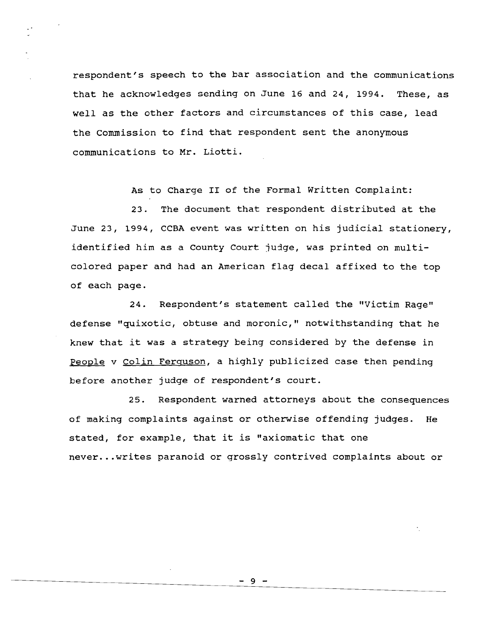respondent's speech to the bar association and the communications that he acknowledges sending on June 16 and 24, 1994. These, as well as the other factors and circumstances of this case, lead the commission to find that respondent sent the anonymous communications to Mr. Liotti.

As to Charge II of the Formal Written Complaint:

23. The document that respondent distributed at the June 23, 1994, CCBA event was written on his jUdicial stationery, identified him as a County Court judge, was printed on multicolored paper and had an American flag decal affixed to the top of each page.

24. Respondent's statement called the "Victim Rage" defense "quixotic, obtuse and moronic," notwithstanding that he knew that it was <sup>a</sup> strategy being considered by the defense in People v Colin Ferguson, a highly publicized case then pending before another judge of respondent's court.

25. Respondent warned attorneys about the consequences of making complaints against or otherwise offending judges. He stated, for example, that it is "axiomatic that one never...writes paranoid or grossly contrived complaints about or

 $-9 -$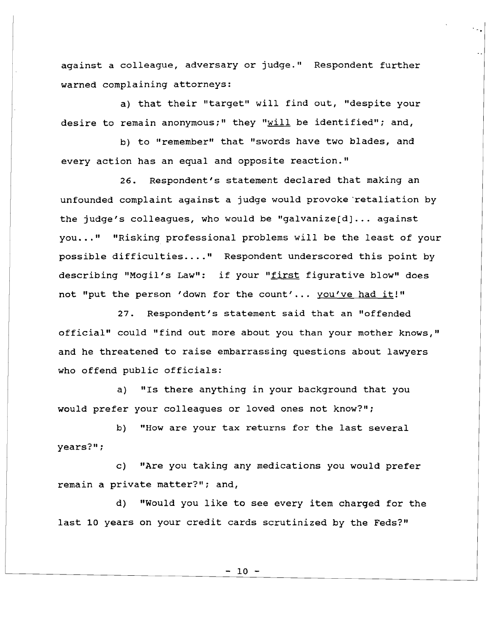against a colleague, adversary or judge." Respondent further warned complaining attorneys:

٠.,

a) that their "target" will find out, "despite your desire to remain anonymous;" they " $will$  be identified"; and,</u>

b) to "remember" that "swords have two blades, and every action has an equal and opposite reaction."

26. Respondent's statement declared that making an unfounded complaint against <sup>a</sup> judge would provoke 'retaliation by the judge's colleagues, who would be "galvanize $[d] \ldots$  against you..." "Risking professional problems will be the least of your possible difficulties.... " Respondent underscored this point by describing "Mogil's Law": if your "first figurative blow" does not "put the person 'down for the count'... you've had it!"

27. Respondent's statement said that an "offended official" could "find out more about you than your mother knows," and he threatened to raise embarrassing questions about lawyers who offend public officials:

a) "Is there anything in your background that you would prefer your colleagues or loved ones not know?";

b) "How are your tax returns for the last several years?";

c) "Are you taking any medications you would prefer remain a private matter?"; and,

d) "Would you like to see every item charged for the last 10 years on your credit cards scrutinized by the Feds?"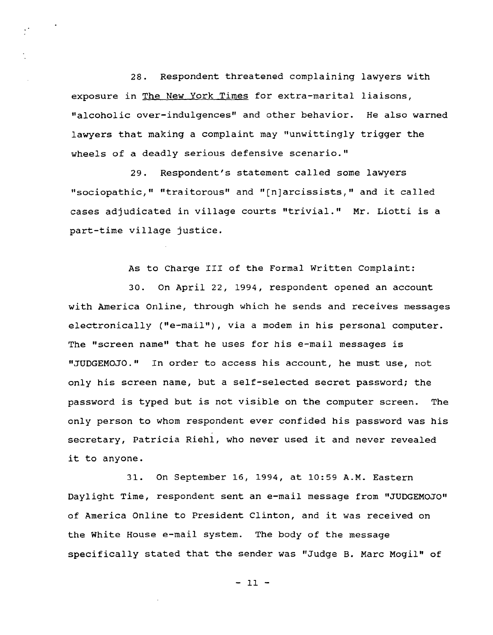28. Respondent threatened complaining lawyers with exposure in The New York Times for extra-marital liaisons, "alcoholic over-indulgences" and other behavior. He also warned lawyers that making <sup>a</sup> complaint may "unwittingly trigger the wheels of a deadly serious defensive scenario."

 $\frac{1}{2}$ 

29. Respondent's statement called some lawyers "sociopathic," "traitorous" and "[n]arcissists," and it called cases adjudicated in village courts "trivial." Mr. Liotti is <sup>a</sup> part-time village justice.

As to Charge III of the Formal written Complaint:

30. On April 22, 1994, respondent opened an account with America Online, through which he sends and receives messages electronically ("e-mail"), via <sup>a</sup> modem in his personal computer. The "screen name" that he uses for his e-mail messages is "JUDGEMOJO." In order to access his account, he must use, not only his screen name, but <sup>a</sup> self-selected secret password; the password is typed but is not visible on the computer screen. The only person to whom respondent ever confided his password was his secretary, Patricia Riehl, who never used it and never revealed it to anyone.

31. On September 16, 1994, at 10:59 A.M. Eastern Daylight Time, respondent sent an e-mail message from "JUDGEMOJO" of America Online to President Clinton, and it was received on the white House e-mail system. The body of the message specifically stated that the sender was "Judge B. Marc Mogil" of

- 11 -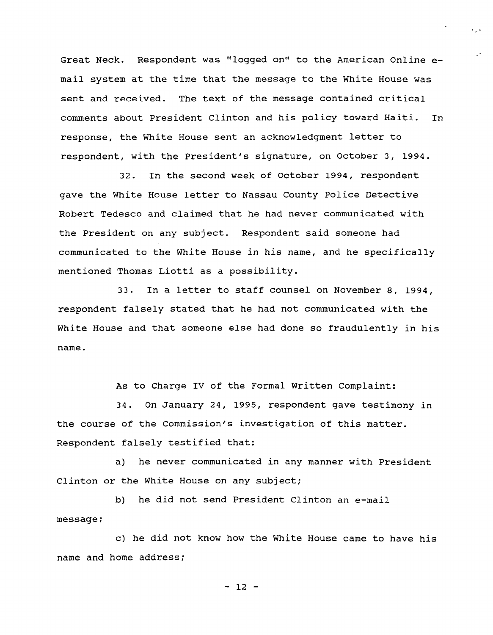Great Neck. Respondent was "logged on" to the American Online email system at the time that the message to the White House was sent and received. The text of the message contained critical comments about President Clinton and his policy toward Haiti. In response, the White House sent an acknowledgment letter to respondent, with the President's signature, on October 3, 1994.

 $\ddotsc$ 

32. In the second week of October 1994, respondent gave the White House letter to Nassau County Police Detective Robert Tedesco and claimed that he had never communicated with the President on any subject. Respondent said someone had communicated to the White House in his name, and he specifically mentioned Thomas Liotti as <sup>a</sup> possibility.

33. In <sup>a</sup> letter to staff counsel on November 8, 1994, respondent falsely stated that he had not communicated with the white House and that someone else had done so fraudulently in his name.

As to Charge IV of the Formal Written Complaint:

34. On January 24, 1995, respondent gave testimony in the course of the Commission's investigation of this matter. Respondent falsely testified that:

a) he never communicated in any manner with President Clinton or the White House on any subject;

b) he did not send President Clinton an e-mail  $message;$ 

c) he did not know how the White House came to have his name and home address:

 $- 12 -$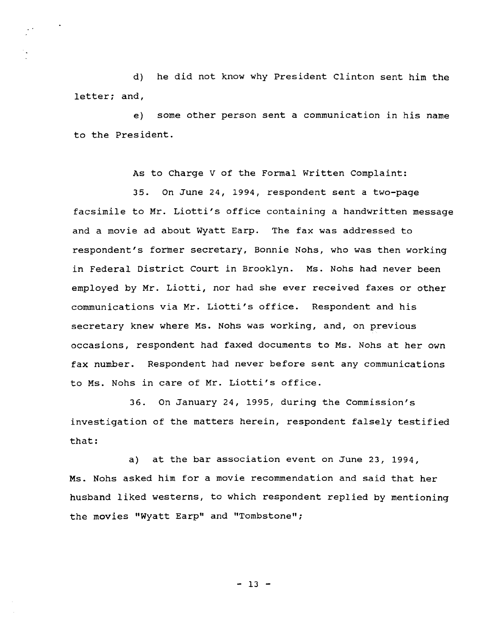d) he did not know why President Clinton sent him the letter: and.

e) some other person sent a communication in his name to the President.

As to Charge V of the Formal Written Complaint:

35. On June 24, 1994, respondent sent a two-page facsimile to Mr. Liotti's office containing <sup>a</sup> handwritten message and a movie ad about Wyatt Earp. The fax was addressed to respondent's forner secretary, Bonnie Nohs, who was then working in Federal District Court in Brooklyn. Ms. Nohs had never been employed by Mr. Liotti, nor had she ever received faxes or other communications via Mr. Liotti's office. Respondent and his secretary knew where Ms. Nohs was working, and, on previous occasions, respondent had faxed documents to Ms. Nohs at her own fax number. Respondent had never before sent any communications to Ms. Nohs in care of Mr. Liotti's office.

36. On January 24, 1995, during the Commission's investigation of the matters herein, respondent falsely testified that:

a) at the bar association event on June 23, 1994, Ms. Nohs asked him for <sup>a</sup> movie recommendation and said that her husband liked westerns, to which respondent replied by mentioning the movies "Wyatt Earp" and "Tombstone";

 $-13 -$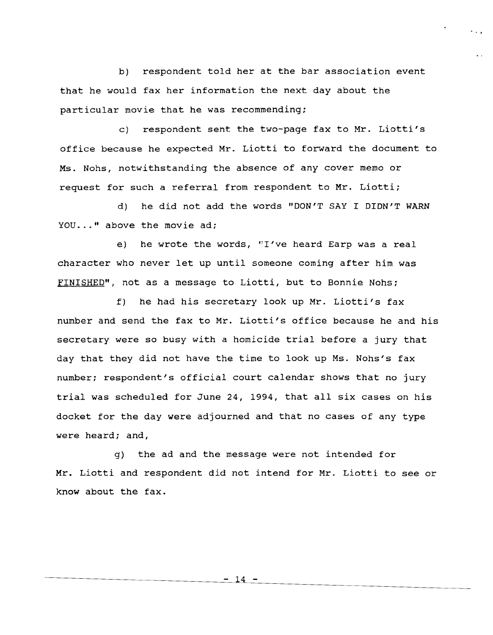b) respondent told her at the bar association event that he would fax her information the next day about the particular movie that he was recommending;

c) respondent sent the two-page fax to Mr. Liotti's office because he expected Mr. Liotti to forward the document to Ms. Nohs, notwithstanding the absence of any cover memo or request for such <sup>a</sup> referral from respondent to Mr. Liotti;

d) he did not add the words "DON'T SAY I DIDN'T WARN YOU..." above the movie ad;

e) he wrote the words, "I've heard Earp was a real character who never let up until someone coming after him was FINISHED", not as a message to Liotti, but to Bonnie Nohs;

f) he had his secretary look up Mr. Liotti's fax number and send the fax to Mr. Liotti's office because he and his secretary were so busy with a homicide trial before a jury that day that they did not have the time to look up Ms. Nohs's fax number; respondent's official court calendar shows that no jury trial was scheduled for June 24, 1994, that all six cases on his docket for the day were adjourned and that no cases of any type were heard; and,

g) the ad and the message were not intended for Mr. Liotti and respondent did not intend for Mr. Liotti to see or know about the fax.

- 14 -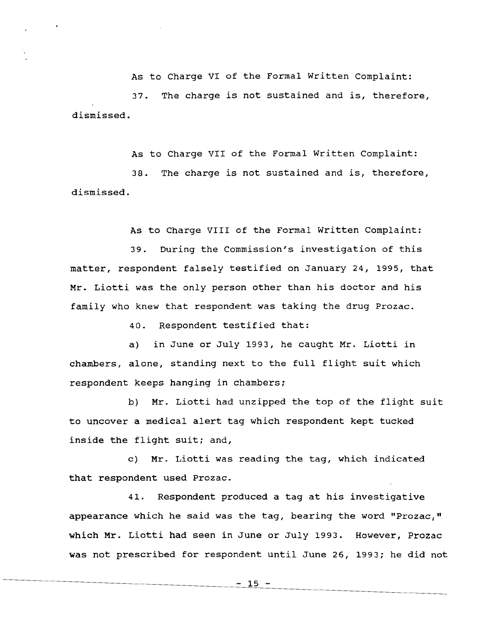As to Charge VI of the Formal Written Complaint: 37. The charge is not sustained and is, therefore, dismissed.

As to Charge VII of the Formal Written Complaint: 38. The charge is not sustained and is, therefore, dismissed.

As to Charge VIII of the Formal written Complaint:

39. During the Commission's investigation of this matter, respondent falsely testified on January 24, 1995, that Mr. Liotti was the only person other than his doctor and his family who knew that respondent was taking the drug Prozac.

40. Respondent testified that:

a) in June or July 1993, he caught Mr. Liotti in chambers, alone, standing next to the full flight suit which respondent keeps hanging in chambers;

b) Mr. Liotti had unzipped the top of the flight suit to uncover <sup>a</sup> medical alert tag which respondent kept tucked inside the flight suit; and,

c) Mr. Liotti was reading the tag, which indicated that respondent used Prozac.

41. Respondent produced <sup>a</sup> tag at his investigative appearance which he said was the tag, bearing the word "Prozac," which Mr. Liotti had seen in June or July 1993. However, Prozac was not prescribed for respondent until June 26, 1993; he did not

- 15 -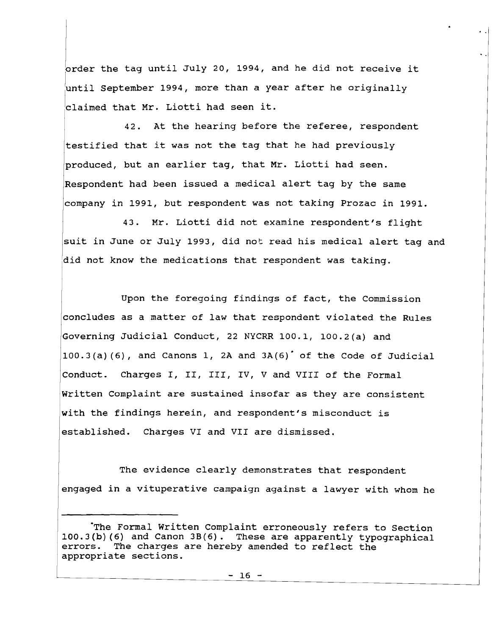order the tag until July 20, 1994, and he did not receive it  $\boxed{\mathtt{claimed}$  that Mr. Liotti had seen it. luntil september 1994, more than <sup>a</sup> year after he originally

42. At the hearing before the referee, respondent testified that it was not the tag that he had previously produced, but an earlier tag, that Mr. Liotti had seen. Respondent had been issued <sup>a</sup> medical alert tag by the same company in 1991, but respondent was not taking Prozac in 1991.

43. Mr. Liotti did not examine respondent's flight suit in June or July 1993, did not read his medical alert tag and did not know the medications that respondent was taking.

Upon the foregoing findings of fact, the Commission concludes as <sup>a</sup> matter of law that respondent violated the Rules Governing Judicial Conduct, 22 NYCRR 100.1, 100.2(a) and  $100.3(a)$  (6), and Canons 1, 2A and  $3A(6)$  of the Code of Judicial Conduct. Charges I, II, III, IV, <sup>V</sup> and VIII of the Formal written Complaint are sustained insofar as they are consistent with the findings herein, and respondent's misconduct is established. Charges VI and VII are dismissed.

The evidence clearly demonstrates that respondent engaged in a vituperative campaign against a lawyer with whom he

<sup>·</sup>The Formal written Complaint erroneously refers to Section  $100.3(b)$  (6) and Canon  $3B(6)$ . These are apparently typographical errors. The charges are hereby amended to reflect the The charges are hereby amended to reflect the appropriate sections.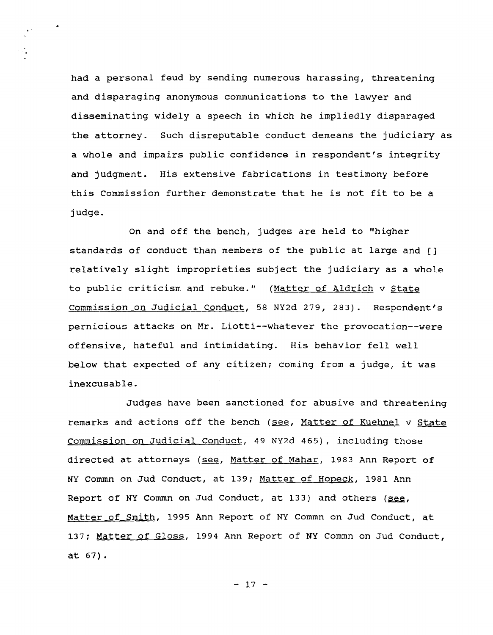had a personal feud by sending numerous harassing, threatening and disparaging anonymous communications to the lawyer and disseminating widely a speech in which he impliedly disparaged the attorney. Such disreputable conduct demeans the judiciary as a whole and impairs public confidence in respondent's integrity and jUdgment. His extensive fabrications in testimony before this Commission further demonstrate that he is not fit to be <sup>a</sup> judge.

 $\frac{1}{\sqrt{2\pi}}\sum_{i=1}^{n-1} \frac{1}{\sqrt{2\pi}}\left(\frac{1}{\sqrt{2\pi}}\right)^2$ 

On and off the bench, jUdges are held to "higher standards of conduct than members of the public at large and [] relatively slight improprieties subject the judiciary as <sup>a</sup> whole to public criticism and rebuke." (Matter of Aldrich v State Commission on Judicial Conduct, 58 NY2d 279, 283). Respondent's pernicious attacks on Mr. Liotti--whatever the provocation--were offensive, hateful and intimidating. His behavior fell well below that expected of any citizen; coming from <sup>a</sup> judge, it was inexcusable.

JUdges have been sanctioned for abusive and threatening remarks and actions off the bench (see, Matter of Kuehnel v State commission on Judicial Conduct, 49 NY2d 465), including those directed at attorneys (see, Matter of Mahar, 1983 Ann Report of NY Commn on Jud Conduct, at 139; Matter of Hopeck, 1981 Ann Report of NY Commn on Jud Conduct, at 133) and others (see, Matter of smith, 1995 Ann Report of NY Commn on Jud Conduct, at 137; Matter of Gloss, 1994 Ann Report of NY Commn on Jud Conduct, at 67).

 $-17 -$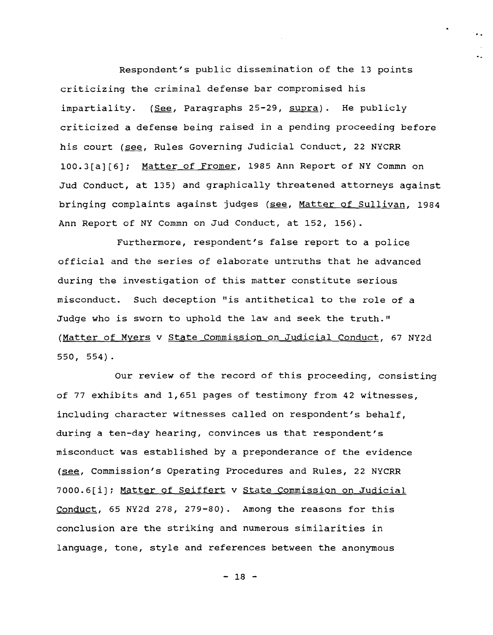Respondent's pUblic dissemination of the 13 points criticizing the criminal defense bar compromised his impartiality. (See, Paragraphs 25-29, supra). He publicly criticized <sup>a</sup> defense being raised in <sup>a</sup> pending proceeding before his court (see, Rules Governing Judicial Conduct, 22 NYCRR *100.3[a][6]i* Matter of Fromer, 1985 Ann Report of NY Commn on Jud Conduct, at 135) and graphically threatened attorneys against bringing complaints against judges (see, Matter of SUllivan, 1984 Ann Report of NY Commn on Jud Conduct, at 152, 156).

· ..

Furthermore, respondent's false report to a police official and the series of elaborate untruths that he advanced during the investigation of this matter constitute serious misconduct. Such deception "is antithetical to the role of <sup>a</sup> Judge who is sworn to uphold the law and seek the truth." (Matter of Myers v State Commission on Judicial Conduct, 67 NY2d 550, 554).

Our review of the record of this proceeding, consisting of 77 exhibits and 1,651 pages of testimony from 42 witnesses, including character witnesses called on respondent's behalf, during <sup>a</sup> ten-day hearing, convinces us that respondent's misconduct was established by a preponderance of the evidence (see, Commission's Operating Procedures and Rules, 22 NYCRR *7000.6[i]i* Matter of Seiffert <sup>v</sup> State Commission on Judicial Conduct, 65 NY2d 278, 279-80). Among the reasons for this conclusion are the striking and numerous similarities in language, tone, style and references between the anonymous

- 18 -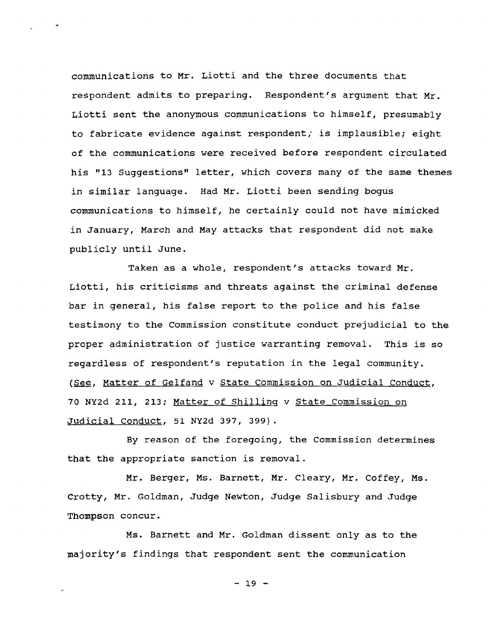communications to Mr. Liotti and the three documents that respondent admits to preparing. Respondent's argument that Mr. Liotti sent the anonymous communications to himself, presumably to fabricate evidence against respondent, is implausible; eight of the communications were received before respondent circulated his "13 Suggestions" letter, which covers many of the same themes in similar language. Had Mr. Liotti been sending bogus communications to himself, he certainly could not have mimicked in January, March and May attacks that respondent did not make publicly until June.

Taken as a whole, respondent's attacks toward Mr. Liotti, his criticisms and threats against the criminal defense bar in general, his false report to the police and his false testimony to the Commission constitute conduct prejudicial to the proper administration of justice warranting removal. This is so regardless of respondent's reputation in the legal community. (See, Matter of Gelfand v State Commission on Judicial Conduct, <sup>70</sup> NY2d 211, 213; Matter of Shilling <sup>v</sup> state commission on Judicial Conduct, 51 NY2d 397, 399).

By reason of the foregoing, the Commission determines that the appropriate sanction is removal.

Mr. Berger, Ms. Barnett, Mr. Cleary, Mr. Coffey, Ms. Crotty, Mr. Goldman, Judge Newton, JUdge Salisbury and JUdge Thompson concur.

Ms. Barnett and Mr. Goldman dissent only as to the majority's findings that respondent sent the communication

 $-19 -$